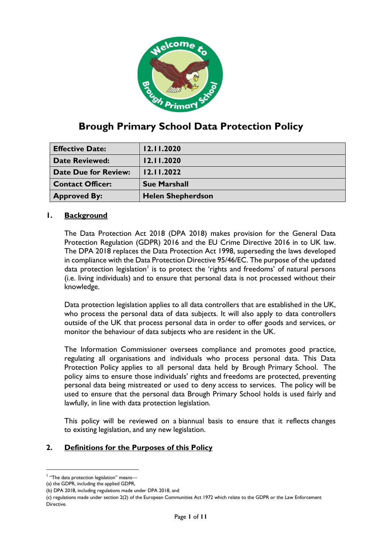

# **Brough Primary School Data Protection Policy**

| <b>Effective Date:</b>      | 12.11.2020               |
|-----------------------------|--------------------------|
| <b>Date Reviewed:</b>       | 12.11.2020               |
| <b>Date Due for Review:</b> | 12.11.2022               |
| <b>Contact Officer:</b>     | <b>Sue Marshall</b>      |
| <b>Approved By:</b>         | <b>Helen Shepherdson</b> |

# **1. Background**

The Data Protection Act 2018 (DPA 2018) makes provision for the General Data Protection Regulation (GDPR) 2016 and the EU Crime Directive 2016 in to UK law. The DPA 2018 replaces the Data Protection Act 1998, superseding the laws developed in compliance with the Data Protection Directive 95/46/EC. The purpose of the updated data protection legislation<sup>1</sup> is to protect the 'rights and freedoms' of natural persons (i.e. living individuals) and to ensure that personal data is not processed without their knowledge.

Data protection legislation applies to all data controllers that are established in the UK, who process the personal data of data subjects. It will also apply to data controllers outside of the UK that process personal data in order to offer goods and services, or monitor the behaviour of data subjects who are resident in the UK.

The Information Commissioner oversees compliance and promotes good practice, regulating all organisations and individuals who process personal data. This Data Protection Policy applies to all personal data held by Brough Primary School. The policy aims to ensure those individuals' rights and freedoms are protected, preventing personal data being mistreated or used to deny access to services. The policy will be used to ensure that the personal data Brough Primary School holds is used fairly and lawfully, in line with data protection legislation.

This policy will be reviewed on a biannual basis to ensure that it reflects changes to existing legislation, and any new legislation.

# **2. Definitions for the Purposes of this Policy**

-

<sup>&</sup>lt;sup>1</sup> "The data protection legislation" means-

<sup>(</sup>a) the GDPR, including the applied GDPR,

<sup>(</sup>b) DPA 2018, including regulations made under DPA 2018, and

<sup>(</sup>c) regulations made under section 2(2) of the European Communities Act 1972 which relate to the GDPR or the Law Enforcement Directive.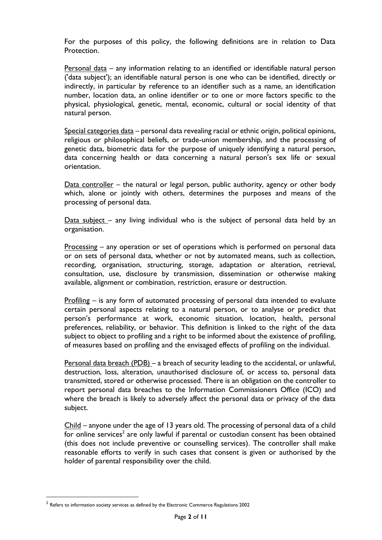For the purposes of this policy, the following definitions are in relation to Data Protection.

Personal data – any information relating to an identified or identifiable natural person ('data subject'); an identifiable natural person is one who can be identified, directly or indirectly, in particular by reference to an identifier such as a name, an identification number, location data, an online identifier or to one or more factors specific to the physical, physiological, genetic, mental, economic, cultural or social identity of that natural person.

Special categories data – personal data revealing racial or ethnic origin, political opinions, religious or philosophical beliefs, or trade-union membership, and the processing of genetic data, biometric data for the purpose of uniquely identifying a natural person, data concerning health or data concerning a natural person's sex life or sexual orientation.

Data controller – the natural or legal person, public authority, agency or other body which, alone or jointly with others, determines the purposes and means of the processing of personal data.

Data subject – any living individual who is the subject of personal data held by an organisation.

Processing – any operation or set of operations which is performed on personal data or on sets of personal data, whether or not by automated means, such as collection, recording, organisation, structuring, storage, adaptation or alteration, retrieval, consultation, use, disclosure by transmission, dissemination or otherwise making available, alignment or combination, restriction, erasure or destruction.

Profiling – is any form of automated processing of personal data intended to evaluate certain personal aspects relating to a natural person, or to analyse or predict that person's performance at work, economic situation, location, health, personal preferences, reliability, or behavior. This definition is linked to the right of the data subject to object to profiling and a right to be informed about the existence of profiling, of measures based on profiling and the envisaged effects of profiling on the individual.

Personal data breach (PDB) – a breach of security leading to the accidental, or unlawful, destruction, loss, alteration, unauthorised disclosure of, or access to, personal data transmitted, stored or otherwise processed. There is an obligation on the controller to report personal data breaches to the Information Commissioners Office (ICO) and where the breach is likely to adversely affect the personal data or privacy of the data subject.

Child – anyone under the age of 13 years old. The processing of personal data of a child for online services<sup>2</sup> are only lawful if parental or custodian consent has been obtained (this does not include preventive or counselling services). The controller shall make reasonable efforts to verify in such cases that consent is given or authorised by the holder of parental responsibility over the child.

<u>.</u>

 $^{\text{2}}$  Refers to information society services as defined by the Electronic Commerce Regulations 2002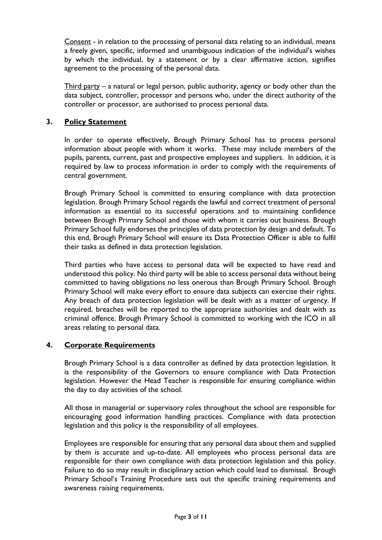Consent - in relation to the processing of personal data relating to an individual, means a freely given, specific, informed and unambiguous indication of the individual's wishes by which the individual, by a statement or by a clear affirmative action, signifies agreement to the processing of the personal data.

Third party – a natural or legal person, public authority, agency or body other than the data subject, controller, processor and persons who, under the direct authority of the controller or processor, are authorised to process personal data.

# **3. Policy Statement**

In order to operate effectively, Brough Primary School has to process personal information about people with whom it works. These may include members of the pupils, parents, current, past and prospective employees and suppliers. In addition, it is required by law to process information in order to comply with the requirements of central government.

Brough Primary School is committed to ensuring compliance with data protection legislation. Brough Primary School regards the lawful and correct treatment of personal information as essential to its successful operations and to maintaining confidence between Brough Primary School and those with whom it carries out business. Brough Primary School fully endorses the principles of data protection by design and default. To this end, Brough Primary School will ensure its Data Protection Officer is able to fulfil their tasks as defined in data protection legislation.

Third parties who have access to personal data will be expected to have read and understood this policy. No third party will be able to access personal data without being committed to having obligations no less onerous than Brough Primary School. Brough Primary School will make every effort to ensure data subjects can exercise their rights. Any breach of data protection legislation will be dealt with as a matter of urgency. If required, breaches will be reported to the appropriate authorities and dealt with as criminal offence. Brough Primary School is committed to working with the ICO in all areas relating to personal data.

# **4. Corporate Requirements**

Brough Primary School is a data controller as defined by data protection legislation. It is the responsibility of the Governors to ensure compliance with Data Protection legislation. However the Head Teacher is responsible for ensuring compliance within the day to day activities of the school.

All those in managerial or supervisory roles throughout the school are responsible for encouraging good information handling practices. Compliance with data protection legislation and this policy is the responsibility of all employees.

Employees are responsible for ensuring that any personal data about them and supplied by them is accurate and up-to-date. All employees who process personal data are responsible for their own compliance with data protection legislation and this policy. Failure to do so may result in disciplinary action which could lead to dismissal. Brough Primary School's Training Procedure sets out the specific training requirements and awareness raising requirements.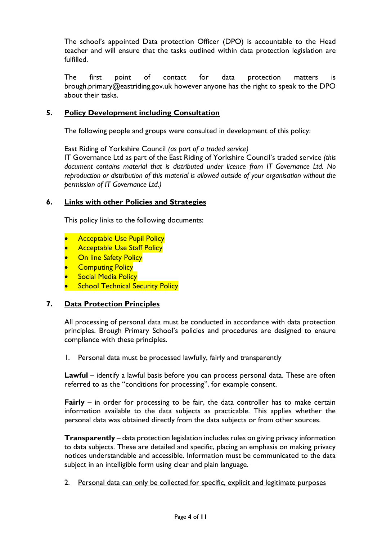The school's appointed Data protection Officer (DPO) is accountable to the Head teacher and will ensure that the tasks outlined within data protection legislation are fulfilled.

The first point of contact for data protection matters is brough.primary@eastriding.gov.uk however anyone has the right to speak to the DPO about their tasks.

### **5. Policy Development including Consultation**

The following people and groups were consulted in development of this policy:

East Riding of Yorkshire Council *(as part of a traded service)*

IT Governance Ltd as part of the East Riding of Yorkshire Council's traded service *(this document contains material that is distributed under licence from IT Governance Ltd. No reproduction or distribution of this material is allowed outside of your organisation without the permission of IT Governance Ltd.)*

### **6. Links with other Policies and Strategies**

This policy links to the following documents:

- Acceptable Use Pupil Policy
- **Acceptable Use Staff Policy**
- **On line Safety Policy**
- **Computing Policy**
- **Social Media Policy**
- **School Technical Security Policy**

#### **7. Data Protection Principles**

All processing of personal data must be conducted in accordance with data protection principles. Brough Primary School's policies and procedures are designed to ensure compliance with these principles.

1. Personal data must be processed lawfully, fairly and transparently

**Lawful** – identify a lawful basis before you can process personal data. These are often referred to as the "conditions for processing", for example consent.

**Fairly** – in order for processing to be fair, the data controller has to make certain information available to the data subjects as practicable. This applies whether the personal data was obtained directly from the data subjects or from other sources.

**Transparently** – data protection legislation includes rules on giving privacy information to data subjects. These are detailed and specific, placing an emphasis on making privacy notices understandable and accessible. Information must be communicated to the data subject in an intelligible form using clear and plain language.

2. Personal data can only be collected for specific, explicit and legitimate purposes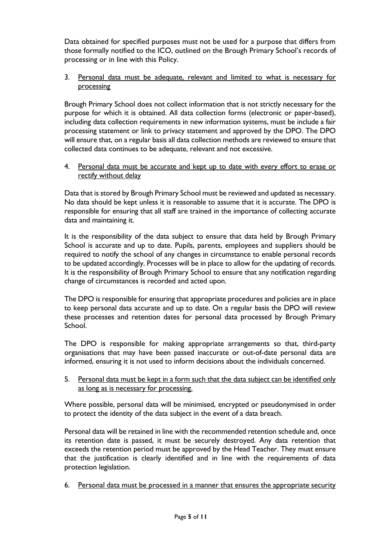Data obtained for specified purposes must not be used for a purpose that differs from those formally notified to the ICO, outlined on the Brough Primary School's records of processing or in line with this Policy.

# 3. Personal data must be adequate, relevant and limited to what is necessary for processing

Brough Primary School does not collect information that is not strictly necessary for the purpose for which it is obtained. All data collection forms (electronic or paper-based), including data collection requirements in new information systems, must be include a fair processing statement or link to privacy statement and approved by the DPO. The DPO will ensure that, on a regular basis all data collection methods are reviewed to ensure that collected data continues to be adequate, relevant and not excessive.

4. Personal data must be accurate and kept up to date with every effort to erase or rectify without delay

Data that is stored by Brough Primary School must be reviewed and updated as necessary. No data should be kept unless it is reasonable to assume that it is accurate. The DPO is responsible for ensuring that all staff are trained in the importance of collecting accurate data and maintaining it.

It is the responsibility of the data subject to ensure that data held by Brough Primary School is accurate and up to date. Pupils, parents, employees and suppliers should be required to notify the school of any changes in circumstance to enable personal records to be updated accordingly. Processes will be in place to allow for the updating of records. It is the responsibility of Brough Primary School to ensure that any notification regarding change of circumstances is recorded and acted upon.

The DPO is responsible for ensuring that appropriate procedures and policies are in place to keep personal data accurate and up to date. On a regular basis the DPO will review these processes and retention dates for personal data processed by Brough Primary School.

The DPO is responsible for making appropriate arrangements so that, third-party organisations that may have been passed inaccurate or out-of-date personal data are informed, ensuring it is not used to inform decisions about the individuals concerned.

5. Personal data must be kept in a form such that the data subject can be identified only as long as is necessary for processing.

Where possible, personal data will be minimised, encrypted or pseudonymised in order to protect the identity of the data subject in the event of a data breach.

Personal data will be retained in line with the recommended retention schedule and, once its retention date is passed, it must be securely destroyed. Any data retention that exceeds the retention period must be approved by the Head Teacher. They must ensure that the justification is clearly identified and in line with the requirements of data protection legislation.

6. Personal data must be processed in a manner that ensures the appropriate security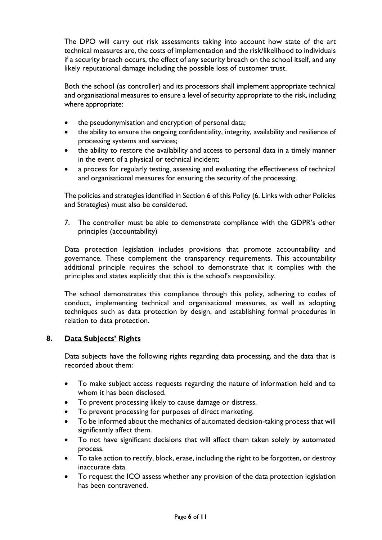The DPO will carry out risk assessments taking into account how state of the art technical measures are, the costs of implementation and the risk/likelihood to individuals if a security breach occurs, the effect of any security breach on the school itself, and any likely reputational damage including the possible loss of customer trust.

Both the school (as controller) and its processors shall implement appropriate technical and organisational measures to ensure a level of security appropriate to the risk, including where appropriate:

- the pseudonymisation and encryption of personal data;
- the ability to ensure the ongoing confidentiality, integrity, availability and resilience of processing systems and services;
- the ability to restore the availability and access to personal data in a timely manner in the event of a physical or technical incident;
- a process for regularly testing, assessing and evaluating the effectiveness of technical and organisational measures for ensuring the security of the processing.

The policies and strategies identified in Section 6 of this Policy (6. Links with other Policies and Strategies) must also be considered.

7. The controller must be able to demonstrate compliance with the GDPR's other principles (accountability)

Data protection legislation includes provisions that promote accountability and governance. These complement the transparency requirements. This accountability additional principle requires the school to demonstrate that it complies with the principles and states explicitly that this is the school's responsibility.

The school demonstrates this compliance through this policy, adhering to codes of conduct, implementing technical and organisational measures, as well as adopting techniques such as data protection by design, and establishing formal procedures in relation to data protection.

# **8. Data Subjects' Rights**

Data subjects have the following rights regarding data processing, and the data that is recorded about them:

- To make subject access requests regarding the nature of information held and to whom it has been disclosed.
- To prevent processing likely to cause damage or distress.
- To prevent processing for purposes of direct marketing.
- To be informed about the mechanics of automated decision-taking process that will significantly affect them.
- To not have significant decisions that will affect them taken solely by automated process.
- To take action to rectify, block, erase, including the right to be forgotten, or destroy inaccurate data.
- To request the ICO assess whether any provision of the data protection legislation has been contravened.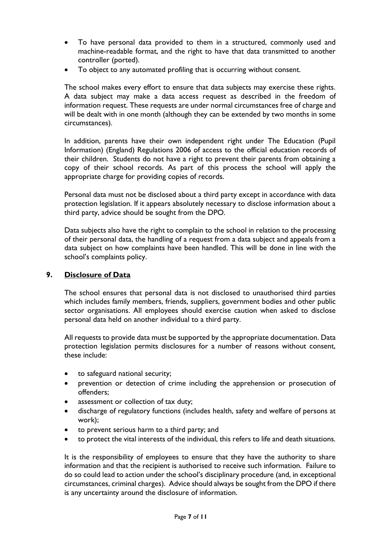- To have personal data provided to them in a structured, commonly used and machine-readable format, and the right to have that data transmitted to another controller (ported).
- To object to any automated profiling that is occurring without consent.

The school makes every effort to ensure that data subjects may exercise these rights. A data subject may make a data access request as described in the freedom of information request. These requests are under normal circumstances free of charge and will be dealt with in one month (although they can be extended by two months in some circumstances).

In addition, parents have their own independent right under The Education (Pupil Information) (England) Regulations 2006 of access to the official education records of their children. Students do not have a right to prevent their parents from obtaining a copy of their school records. As part of this process the school will apply the appropriate charge for providing copies of records.

Personal data must not be disclosed about a third party except in accordance with data protection legislation. If it appears absolutely necessary to disclose information about a third party, advice should be sought from the DPO.

Data subjects also have the right to complain to the school in relation to the processing of their personal data, the handling of a request from a data subject and appeals from a data subject on how complaints have been handled. This will be done in line with the school's complaints policy.

# **9. Disclosure of Data**

The school ensures that personal data is not disclosed to unauthorised third parties which includes family members, friends, suppliers, government bodies and other public sector organisations. All employees should exercise caution when asked to disclose personal data held on another individual to a third party.

All requests to provide data must be supported by the appropriate documentation. Data protection legislation permits disclosures for a number of reasons without consent, these include:

- to safeguard national security;
- prevention or detection of crime including the apprehension or prosecution of offenders;
- assessment or collection of tax duty;
- discharge of regulatory functions (includes health, safety and welfare of persons at work);
- to prevent serious harm to a third party; and
- to protect the vital interests of the individual, this refers to life and death situations.

It is the responsibility of employees to ensure that they have the authority to share information and that the recipient is authorised to receive such information. Failure to do so could lead to action under the school's disciplinary procedure (and, in exceptional circumstances, criminal charges). Advice should always be sought from the DPO if there is any uncertainty around the disclosure of information.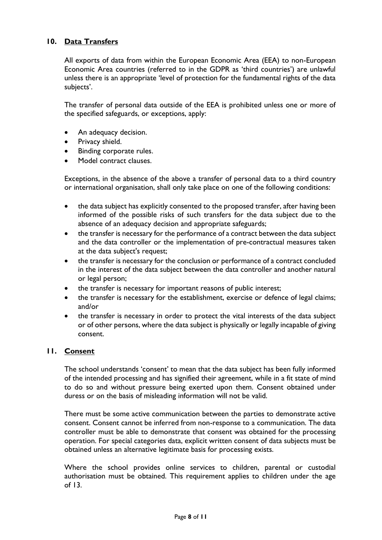# **10. Data Transfers**

All exports of data from within the European Economic Area (EEA) to non-European Economic Area countries (referred to in the GDPR as 'third countries') are unlawful unless there is an appropriate 'level of protection for the fundamental rights of the data subjects'.

The transfer of personal data outside of the EEA is prohibited unless one or more of the specified safeguards, or exceptions, apply:

- An adequacy decision.
- Privacy shield.
- Binding corporate rules.
- Model contract clauses.

Exceptions, in the absence of the above a transfer of personal data to a third country or international organisation, shall only take place on one of the following conditions:

- the data subject has explicitly consented to the proposed transfer, after having been informed of the possible risks of such transfers for the data subject due to the absence of an adequacy decision and appropriate safeguards;
- the transfer is necessary for the performance of a contract between the data subject and the data controller or the implementation of pre-contractual measures taken at the data subject's request;
- the transfer is necessary for the conclusion or performance of a contract concluded in the interest of the data subject between the data controller and another natural or legal person;
- the transfer is necessary for important reasons of public interest;
- the transfer is necessary for the establishment, exercise or defence of legal claims; and/or
- the transfer is necessary in order to protect the vital interests of the data subject or of other persons, where the data subject is physically or legally incapable of giving consent.

#### **11. Consent**

The school understands 'consent' to mean that the data subject has been fully informed of the intended processing and has signified their agreement, while in a fit state of mind to do so and without pressure being exerted upon them. Consent obtained under duress or on the basis of misleading information will not be valid.

There must be some active communication between the parties to demonstrate active consent. Consent cannot be inferred from non-response to a communication. The data controller must be able to demonstrate that consent was obtained for the processing operation. For special categories data, explicit written consent of data subjects must be obtained unless an alternative legitimate basis for processing exists.

Where the school provides online services to children, parental or custodial authorisation must be obtained. This requirement applies to children under the age of 13.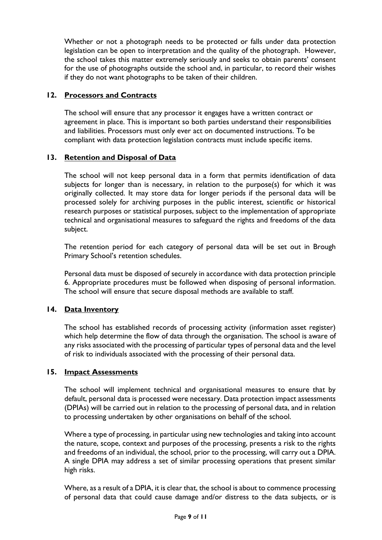Whether or not a photograph needs to be protected or falls under data protection legislation can be open to interpretation and the quality of the photograph. However, the school takes this matter extremely seriously and seeks to obtain parents' consent for the use of photographs outside the school and, in particular, to record their wishes if they do not want photographs to be taken of their children.

# **12. Processors and Contracts**

The school will ensure that any processor it engages have a written contract or agreement in place. This is important so both parties understand their responsibilities and liabilities. Processors must only ever act on documented instructions. To be compliant with data protection legislation contracts must include specific items.

# **13. Retention and Disposal of Data**

The school will not keep personal data in a form that permits identification of data subjects for longer than is necessary, in relation to the purpose(s) for which it was originally collected. It may store data for longer periods if the personal data will be processed solely for archiving purposes in the public interest, scientific or historical research purposes or statistical purposes, subject to the implementation of appropriate technical and organisational measures to safeguard the rights and freedoms of the data subject.

The retention period for each category of personal data will be set out in Brough Primary School's retention schedules.

Personal data must be disposed of securely in accordance with data protection principle 6. Appropriate procedures must be followed when disposing of personal information. The school will ensure that secure disposal methods are available to staff.

# **14. Data Inventory**

The school has established records of processing activity (information asset register) which help determine the flow of data through the organisation. The school is aware of any risks associated with the processing of particular types of personal data and the level of risk to individuals associated with the processing of their personal data.

# **15. Impact Assessments**

The school will implement technical and organisational measures to ensure that by default, personal data is processed were necessary. Data protection impact assessments (DPIAs) will be carried out in relation to the processing of personal data, and in relation to processing undertaken by other organisations on behalf of the school.

Where a type of processing, in particular using new technologies and taking into account the nature, scope, context and purposes of the processing, presents a risk to the rights and freedoms of an individual, the school, prior to the processing, will carry out a DPIA. A single DPIA may address a set of similar processing operations that present similar high risks.

Where, as a result of a DPIA, it is clear that, the school is about to commence processing of personal data that could cause damage and/or distress to the data subjects, or is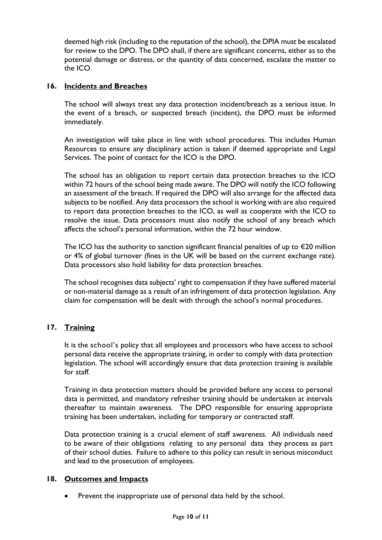deemed high risk (including to the reputation of the school), the DPIA must be escalated for review to the DPO. The DPO shall, if there are significant concerns, either as to the potential damage or distress, or the quantity of data concerned, escalate the matter to the ICO.

# **16. Incidents and Breaches**

The school will always treat any data protection incident/breach as a serious issue. In the event of a breach, or suspected breach (incident), the DPO must be informed immediately.

An investigation will take place in line with school procedures. This includes Human Resources to ensure any disciplinary action is taken if deemed appropriate and Legal Services. The point of contact for the ICO is the DPO.

The school has an obligation to report certain data protection breaches to the ICO within 72 hours of the school being made aware. The DPO will notify the ICO following an assessment of the breach. If required the DPO will also arrange for the affected data subjects to be notified. Any data processors the school is working with are also required to report data protection breaches to the ICO, as well as cooperate with the ICO to resolve the issue. Data processors must also notify the school of any breach which affects the school's personal information, within the 72 hour window.

The ICO has the authority to sanction significant financial penalties of up to  $\epsilon$ 20 million or 4% of global turnover (fines in the UK will be based on the current exchange rate). Data processors also hold liability for data protection breaches.

The school recognises data subjects' right to compensation if they have suffered material or non-material damage as a result of an infringement of data protection legislation. Any claim for compensation will be dealt with through the school's normal procedures.

# **17. Training**

It is the school's policy that all employees and processors who have access to school personal data receive the appropriate training, in order to comply with data protection legislation. The school will accordingly ensure that data protection training is available for staff.

Training in data protection matters should be provided before any access to personal data is permitted, and mandatory refresher training should be undertaken at intervals thereafter to maintain awareness. The DPO responsible for ensuring appropriate training has been undertaken, including for temporary or contracted staff.

Data protection training is a crucial element of staff awareness. All individuals need to be aware of their obligations relating to any personal data they process as part of their school duties. Failure to adhere to this policy can result in serious misconduct and lead to the prosecution of employees.

# **18. Outcomes and Impacts**

Prevent the inappropriate use of personal data held by the school.